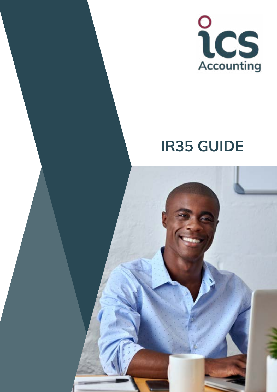

# **IR35 GUIDE**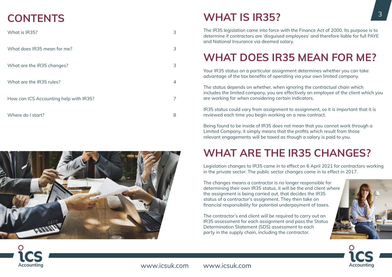www.icsuk.com

# **CONTENTS**

| What is IR35?                          | 3 |
|----------------------------------------|---|
| What does IR35 mean for me?            | 3 |
| What are the IR35 changes?             | 3 |
| What are the IR35 rules?               | 4 |
| How can ICS Accounting help with IR35? | 7 |
| Where do I start?                      | 8 |



www.icsuk.com

# **WHAT IS IR35?**

The IR35 legislation came into force with the Finance Act of 2000. Its purpose is to determine if contractors are 'disguised employees' and therefore liable for full PAYE and National Insurance via deemed salary.

# **WHAT DOES IR35 MEAN FOR ME?**

Your IR35 status on a particular assignment determines whether you can take advantage of the tax benefits of operating via your own limited company.

The status depends on whether, when ignoring the contractual chain which includes the limited company, you are effectively an employee of the client which you are working for when considering certain indicators.

IR35 status could vary from assignment to assignment, so it is important that it is reviewed each time you begin working on a new contract.

Being found to be inside of IR35 does not mean that you cannot work through a Limited Company, it simply means that the profits which result from those relevant engagements will be taxed as though a salary is paid to you.

# **WHAT ARE THE IR35 CHANGES?**

Legislation changes to IR35 came in to effect on 6 April 2021 for contractors working in the private sector. The public sector changes came in to effect in 2017.

The changes means a contractor is no longer responsible for determining their own IR35 status, it will be the end client where the assignment is being carried out, that decides the IR35 status of a contractor's assignment. They then take on financial responsibility for potential underpayment of taxes.

The contractor's end client will be required to carry out an IR35 assessment for each assignment and pass the Status Determination Statement (SDS) assessment to each party in the supply chain, including the contractor.





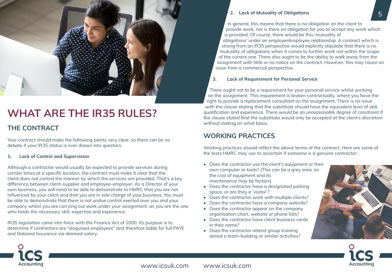### **2. Lack of Mutuality of Obligations**

In general, this means that there is no obligation on the client to provide work, nor is there an obligation for you to accept any work which is provided. Of course, there would be this 'mutuality of obligations' under an employer/employee relationship. A contract which is strong from an IR35 perspective would explicitly stipulate that there is no mutuality of obligations when it comes to further work not within the scope of the current one. There also ought to be the ability to walk away from the assignment with little or no notice on the contract. However, this may cause an issue from a commercial perspective.

### **3. Lack of Requirement for Personal Service**

There ought not to be a requirement for your personal service whilst working on the assignment. This requirement is broken contractually, where you have the right to provide a replacement consultant on the assignment. There is no issue with the clause stating that the substitute should have the equivalent level of skill, qualification and experience. There would be an unreasonable degree of constraint if the clause stated that the substitute would only be accepted at the client's discretion without stating on what basis.

### **WORKING PRACTICES**

Working practices should reflect the above terms of the contract. Here are some of the tests HMRC may use to ascertain if someone is a genuine contractor:

- Does the contractor use the client's equipment or their own computer or tools? (This can be a grey area, as the cost of equipment and its maintenance may be factors)
- Does the contractor have a designated parking space, or are they a 'visitor'?
- Does the contractor work with multiple clients?
- Does the contractor have a company website?
- Does the contractor appear on the company organisation chart, website or phone lists?
- Does the contractor have client business cards in their name?
- Does the contractor attend group training aimed a team-building or similar activities?



www.icsuk.com www.icsuk.com





### 5



# **WHAT ARE THE IR35 RULES?**

### **THE CONTRACT**

Your contract should make the following points very clear, so there can be no debate if your IR35 status is ever drawn into question.

### **1. Lack of Control and Supervision**

Although a contractor would usually be expected to provide services during certain times at a specific location, the contract must make it clear that the client does not control the manner by which the services are provided. That's a key difference between client-supplier and employee-employer. As a Director of your own business, you will need to be able to demonstrate to HMRC that you are not influenced by your client and that you are in sole charge of your business. You must be able to demonstrate that there is not undue control exerted over you and your company whilst you are carrying out work under your assignment, as you are the one who holds the necessary skill, expertise and experience.

IR35 legislation came into force with the Finance Act of 2000. Its purpose is to determine if contractors are "disguised employees" and therefore liable for full PAYE and National Insurance via deemed salary.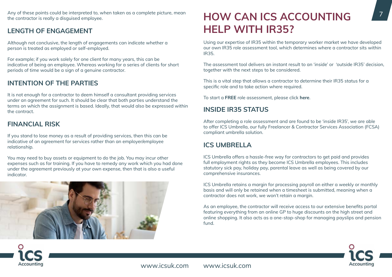

Any of these points could be interpreted to, when taken as a complete picture, mean **HOW CAN ICS ACCOUNTING** The contractor is really a disguised employee. the contractor is really a disguised employee.

### **LENGTH OF ENGAGEMENT**

Although not conclusive, the length of engagements can indicate whether a person is treated as employed or self-employed.

For example; if you work solely for one client for many years, this can be indicative of being an employee. Whereas working for a series of clients for short periods of time would be a sign of a genuine contractor.

### **INTENTION OF THE PARTIES**

It is not enough for a contractor to deem himself a consultant providing services under an agreement for such. It should be clear that both parties understand the terms on which the assignment is based. Ideally, that would also be expressed within the contract.

### **FINANCIAL RISK**

If you stand to lose money as a result of providing services, then this can be indicative of an agreement for services rather than an employer/employee relationship.

You may need to buy assets or equipment to do the job. You may incur other expenses such as for training. If you have to remedy any work which you had done under the agreement previously at your own expense, then that is also a useful indicator.



# **HELP WITH IR35?**

Using our expertise of IR35 within the temporary worker market we have developed our own IR35 role assessment tool, which determines where a contractor sits within IR35.

The assessment tool delivers an instant result to an 'inside' or 'outside IR35' decision, together with the next steps to be considered.

This is a vital step that allows a contractor to determine their IR35 status for a specific role and to take action where required.

To start a **FREE** role assessment, please click **[here](https://www.icsuk.com/ir35hub/role-assessment)**.

### **INSIDE IR35 STATUS**

After completing a role assessment and are found to be 'inside IR35', we are able to offer ICS Umbrella, our fully Freelancer & Contractor Services Association (FCSA) compliant umbrella solution.

### **ICS UMBRELLA**

ICS Umbrella offers a hassle-free way for contractors to get paid and provides full employment rights as they become ICS Umbrella employees. This includes statutory sick pay, holiday pay, parental leave as well as being covered by our comprehensive insurances.

ICS Umbrella retains a margin for processing payroll on either a weekly or monthly basis and will only be retained when a timesheet is submitted, meaning when a contractor does not work, we won't retain a margin.

As an employee, the contractor will receive access to our extensive benefits portal featuring everything from an online GP to huge discounts on the high street and online shopping. It also acts as a one-stop-shop for managing payslips and pension fund.

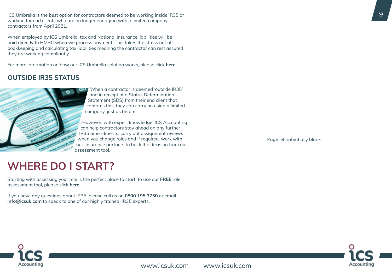www.icsuk.com www.icsuk.com







ICS Umbrella is the best option for contractors deemed to be working inside IR35 or working for end clients who are no longer engaging with a limited company contractors from April 2021.

When employed by ICS Umbrella, tax and National Insurance liabilities will be paid directly to HMRC when we process payment. This takes the stress out of bookkeeping and calculating tax liabilities meaning the contractor can rest assured they are working compliantly.

For more information on how our ICS Umbrella solution works, please click **[here](https://www.icsuk.com/contractor-umbrella-company/)**.

### **OUTSIDE IR35 STATUS**



When a contractor is deemed 'outside IR35' and in receipt of a Status Determination Statement (SDS) from their end client that confirms this, they can carry on using a limited company, just as before.

However, with expert knowledge, ICS Accounting can help contractors stay ahead on any further IR35 amendments, carry out assignment reviews when you change roles and if required, work with our insurance partners to back the decision from our assessment tool.

**WHERE DO I START?**

Starting with assessing your role is the perfect place to start, to use our **FREE** role assessment tool, please click **[here](https://www.icsuk.com/ir35hub/role-assessment)**.

If you have any questions about IR35, please call us on **0800 195 3750** or email **[info@icsuk.com](mailto:ir35%40icsuk.com?subject=IR35)** to speak to one of our highly trained, IR35 experts.